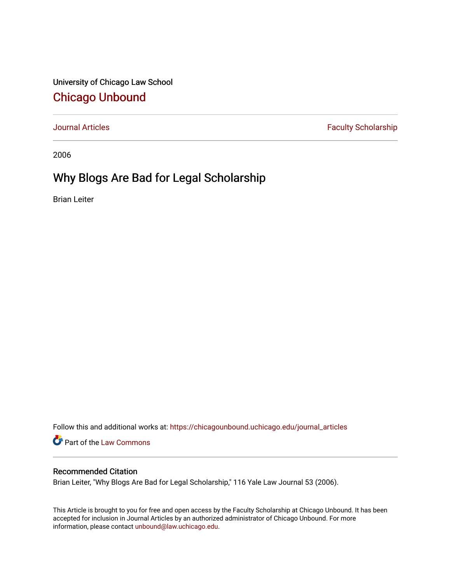University of Chicago Law School [Chicago Unbound](https://chicagounbound.uchicago.edu/)

[Journal Articles](https://chicagounbound.uchicago.edu/journal_articles) **Faculty Scholarship Faculty Scholarship** 

2006

# Why Blogs Are Bad for Legal Scholarship

Brian Leiter

Follow this and additional works at: [https://chicagounbound.uchicago.edu/journal\\_articles](https://chicagounbound.uchicago.edu/journal_articles?utm_source=chicagounbound.uchicago.edu%2Fjournal_articles%2F7429&utm_medium=PDF&utm_campaign=PDFCoverPages) 

Part of the [Law Commons](http://network.bepress.com/hgg/discipline/578?utm_source=chicagounbound.uchicago.edu%2Fjournal_articles%2F7429&utm_medium=PDF&utm_campaign=PDFCoverPages)

#### Recommended Citation

Brian Leiter, "Why Blogs Are Bad for Legal Scholarship," 116 Yale Law Journal 53 (2006).

This Article is brought to you for free and open access by the Faculty Scholarship at Chicago Unbound. It has been accepted for inclusion in Journal Articles by an authorized administrator of Chicago Unbound. For more information, please contact [unbound@law.uchicago.edu](mailto:unbound@law.uchicago.edu).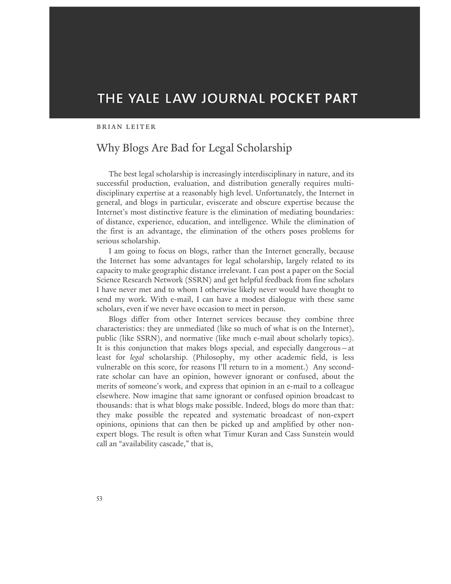# THE YALE LAW JOURNAL POCKET PART

#### **BRIAN LEITER**

### Why Blogs Are Bad for Legal Scholarship

The best legal scholarship is increasingly interdisciplinary in nature, and its successful production, evaluation, and distribution generally requires multidisciplinary expertise at a reasonably high level. Unfortunately, the Internet in general, and blogs in particular, eviscerate and obscure expertise because the Internet's most distinctive feature is the elimination of mediating boundaries: of distance, experience, education, and intelligence. While the elimination of the first is an advantage, the elimination of the others poses problems for serious scholarship.

I am going to focus on blogs, rather than the Internet generally, because the Internet has some advantages for legal scholarship, largely related to its capacity to make geographic distance irrelevant. I can post a paper on the Social Science Research Network (SSRN) and get helpful feedback from fine scholars I have never met and to whom I otherwise likely never would have thought to send my work. With e-mail, I can have a modest dialogue with these same scholars, even if we never have occasion to meet in person.

Blogs differ from other Internet services because they combine three characteristics: they are unmediated (like so much of what is on the Internet), public (like SSRN), and normative (like much e-mail about scholarly topics). It is this conjunction that makes blogs special, and especially dangerous—at least for *legal* scholarship. (Philosophy, my other academic field, is less vulnerable on this score, for reasons I'll return to in a moment.) Any secondrate scholar can have an opinion, however ignorant or confused, about the merits of someone's work, and express that opinion in an e-mail to a colleague elsewhere. Now imagine that same ignorant or confused opinion broadcast to thousands: that is what blogs make possible. Indeed, blogs do more than that: they make possible the repeated and systematic broadcast of non-expert opinions, opinions that can then be picked up and amplified by other nonexpert blogs. The result is often what Timur Kuran and Cass Sunstein would call an "availability cascade," that is,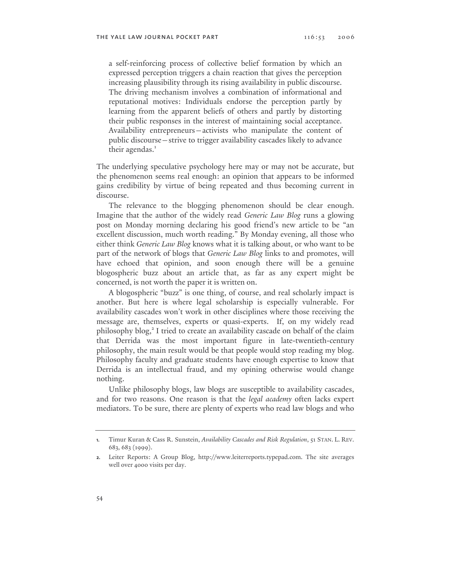a self-reinforcing process of collective belief formation by which an expressed perception triggers a chain reaction that gives the perception increasing plausibility through its rising availability in public discourse. The driving mechanism involves a combination of informational and reputational motives: Individuals endorse the perception partly by learning from the apparent beliefs of others and partly by distorting their public responses in the interest of maintaining social acceptance. Availability entrepreneurs-activists who manipulate the content of public discourse – strive to trigger availability cascades likely to advance their agendas.<sup>1</sup>

The underlying speculative psychology here may or may not be accurate, but the phenomenon seems real enough: an opinion that appears to be informed gains credibility by virtue of being repeated and thus becoming current in discourse.

The relevance to the blogging phenomenon should be clear enough. Imagine that the author of the widely read *Generic Law Blog* runs a glowing post on Monday morning declaring his good friend's new article to be "an excellent discussion, much worth reading." By Monday evening, all those who either think *Generic Law Blog* knows what it is talking about, or who want to be part of the network of blogs that Generic Law Blog links to and promotes, will have echoed that opinion, and soon enough there will be a genuine blogospheric buzz about an article that, as far as any expert might be concerned, is not worth the paper it is written on.

A blogospheric "buzz" is one thing, of course, and real scholarly impact is another. But here is where legal scholarship is especially vulnerable. For availability cascades won't work in other disciplines where those receiving the message are, themselves, experts or quasi-experts. If, on my widely read philosophy blog,<sup>2</sup> I tried to create an availability cascade on behalf of the claim that Derrida was the most important figure in late-twentieth-century philosophy, the main result would be that people would stop reading my blog. Philosophy faculty and graduate students have enough expertise to know that Derrida is an intellectual fraud, and my opining otherwise would change nothing.

Unlike philosophy blogs, law blogs are susceptible to availability cascades, and for two reasons. One reason is that the *legal academy* often lacks expert mediators. To be sure, there are plenty of experts who read law blogs and who

<sup>1.</sup> Timur Kuran & Cass R. Sunstein, Availability Cascades and Risk Regulation, 51 STAN. L. REV.  $683, 683$  (1999).

<sup>2.</sup> Leiter Reports: A Group Blog, http://www.leiterreports.typepad.com. The site averages well over 4000 visits per day.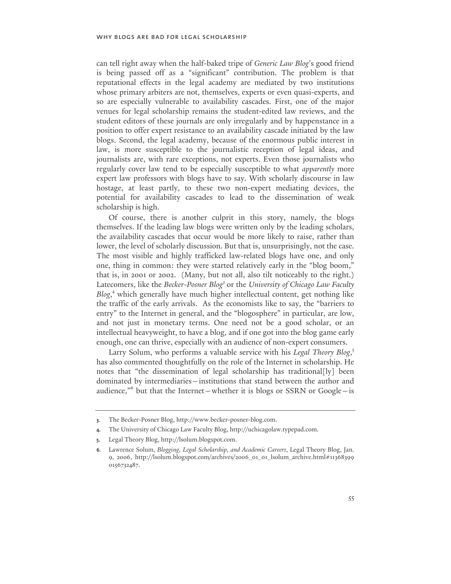can tell right away when the half-baked tripe of *Generic Law Blog's* good friend is being passed off as a "significant" contribution. The problem is that reputational effects in the legal academy are mediated by two institutions whose primary arbiters are not, themselves, experts or even quasi-experts, and so are especially vulnerable to availability cascades. First, one of the major venues for legal scholarship remains the student-edited law reviews, and the student editors of these journals are only irregularly and by happenstance in a position to offer expert resistance to an availability cascade initiated by the law blogs. Second, the legal academy, because of the enormous public interest in law, is more susceptible to the journalistic reception of legal ideas, and journalists are, with rare exceptions, not experts. Even those journalists who regularly cover law tend to be especially susceptible to what *apparently* more expert law professors with blogs have to say. With scholarly discourse in law hostage, at least partly, to these two non-expert mediating devices, the potential for availability cascades to lead to the dissemination of weak scholarship is high.

Of course, there is another culprit in this story, namely, the blogs themselves. If the leading law blogs were written only by the leading scholars, the availability cascades that occur would be more likely to raise, rather than lower, the level of scholarly discussion. But that is, unsurprisingly, not the case. The most visible and highly trafficked law-related blogs have one, and only one, thing in common: they were started relatively early in the "blog boom," that is, in 2001 or 2002. (Many, but not all, also tilt noticeably to the right.) Latecomers, like the Becker-Posner Blog<sup>3</sup> or the University of Chicago Law Faculty Blog,<sup>4</sup> which generally have much higher intellectual content, get nothing like the traffic of the early arrivals. As the economists like to say, the "barriers to entry" to the Internet in general, and the "blogosphere" in particular, are low, and not just in monetary terms. One need not be a good scholar, or an intellectual heavyweight, to have a blog, and if one got into the blog game early enough, one can thrive, especially with an audience of non-expert consumers.

Larry Solum, who performs a valuable service with his Legal Theory Blog,<sup>5</sup> has also commented thoughtfully on the role of the Internet in scholarship. He notes that "the dissemination of legal scholarship has traditional [ly] been dominated by intermediaries-institutions that stand between the author and audience,"<sup>6</sup> but that the Internet-whether it is blogs or SSRN or Google-is

The Becker-Posner Blog, http://www.becker-posner-blog.com. 3.

The University of Chicago Law Faculty Blog, http://uchicagolaw.typepad.com. 4.

Legal Theory Blog, http://lsolum.blogspot.com. 5.

Lawrence Solum, Blogging, Legal Scholarship, and Academic Careers, Legal Theory Blog, Jan. 6. 9, 2006, http://lsolum.blogspot.com/archives/2006\_01\_01\_lsolum\_archive.html#11368399 0156732487.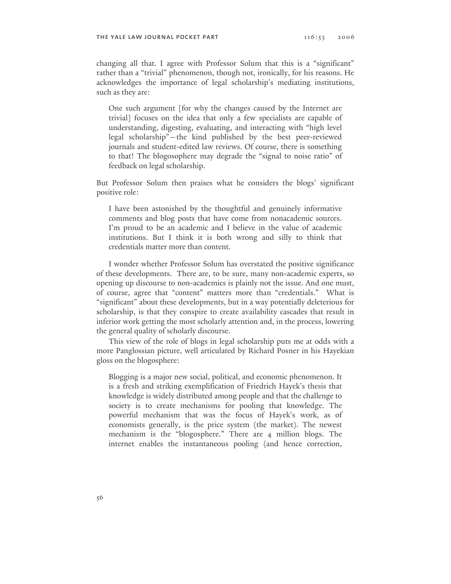changing all that. I agree with Professor Solum that this is a "significant" rather than a "trivial" phenomenon, though not, ironically, for his reasons. He acknowledges the importance of legal scholarship's mediating institutions, such as they are:

One such argument [for why the changes caused by the Internet are trivial] focuses on the idea that only a few specialists are capable of understanding, digesting, evaluating, and interacting with "high level legal scholarship"-the kind published by the best peer-reviewed journals and student-edited law reviews. Of course, there is something to that! The blogosophere may degrade the "signal to noise ratio" of feedback on legal scholarship.

But Professor Solum then praises what he considers the blogs' significant positive role:

I have been astonished by the thoughtful and genuinely informative comments and blog posts that have come from nonacademic sources. I'm proud to be an academic and I believe in the value of academic institutions. But I think it is both wrong and silly to think that credentials matter more than content.

I wonder whether Professor Solum has overstated the positive significance of these developments. There are, to be sure, many non-academic experts, so opening up discourse to non-academics is plainly not the issue. And one must, of course, agree that "content" matters more than "credentials." What is "significant" about these developments, but in a way potentially deleterious for scholarship, is that they conspire to create availability cascades that result in inferior work getting the most scholarly attention and, in the process, lowering the general quality of scholarly discourse.

This view of the role of blogs in legal scholarship puts me at odds with a more Panglossian picture, well articulated by Richard Posner in his Hayekian gloss on the blogosphere:

Blogging is a major new social, political, and economic phenomenon. It is a fresh and striking exemplification of Friedrich Hayek's thesis that knowledge is widely distributed among people and that the challenge to society is to create mechanisms for pooling that knowledge. The powerful mechanism that was the focus of Hayek's work, as of economists generally, is the price system (the market). The newest mechanism is the "blogosphere." There are 4 million blogs. The internet enables the instantaneous pooling (and hence correction,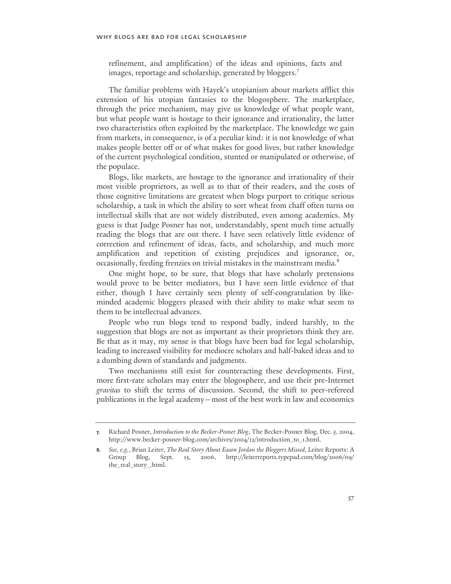refinement, and amplification) of the ideas and opinions, facts and images, reportage and scholarship, generated by bloggers.7

The familiar problems with Hayek's utopianism about markets afflict this extension of his utopian fantasies to the blogosphere. The marketplace, through the price mechanism, may give us knowledge of what people want, but what people want is hostage to their ignorance and irrationality, the latter two characteristics often exploited by the marketplace. The knowledge we gain from markets, in consequence, is of a peculiar kind: it is not knowledge of what makes people better off or of what makes for good lives, but rather knowledge of the current psychological condition, stunted or manipulated or otherwise, of the populace.

Blogs, like markets, are hostage to the ignorance and irrationality of their most visible proprietors, as well as to that of their readers, and the costs of those cognitive limitations are greatest when blogs purport to critique serious scholarship, a task in which the ability to sort wheat from chaff often turns on intellectual skills that are not widely distributed, even among academics. My guess is that Judge Posner has not, understandably, spent much time actually reading the blogs that are out there. I have seen relatively little evidence of correction and refinement of ideas, facts, and scholarship, and much more amplification and repetition of existing prejudices and ignorance, or, occasionally, feeding frenzies on trivial mistakes in the mainstream media.<sup>8</sup>

One might hope, to be sure, that blogs that have scholarly pretensions would prove to be better mediators, but I have seen little evidence of that either, though I have certainly seen plenty of self-congratulation by likeminded academic bloggers pleased with their ability to make what seem to them to be intellectual advances.

People who run blogs tend to respond badly, indeed harshly, to the suggestion that blogs are not as important as their proprietors think they are. Be that as it may, my sense is that blogs have been bad for legal scholarship, leading to increased visibility for mediocre scholars and half-baked ideas and to a dumbing down of standards and judgments.

Two mechanisms still exist for counteracting these developments. First, more first-rate scholars may enter the blogosphere, and use their pre-Internet gravitas to shift the terms of discussion. Second, the shift to peer-refereed publications in the legal academy - most of the best work in law and economics

<sup>7.</sup> Richard Posner, Introduction to the Becker-Posner Blog, The Becker-Posner Blog, Dec. 5, 2004, http://www.becker-posner-blog.com/archives/2004/12/introduction\_to\_1.html.

<sup>8.</sup> See, e.g., Brian Leiter, The Real Story About Eason Jordan the Bloggers Missed, Leiter Reports: A Group Blog, Sept. 15, 2006, http://leiterreports.typepad.com/blog/2006/09/ the\_real\_story\_.html.